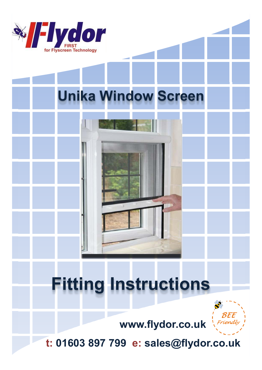

# **Unika Window Screen**

## **Fitting Instructions**



www.flydor.co.uk

t: 01603 897 799 e: sales@flydor.co.uk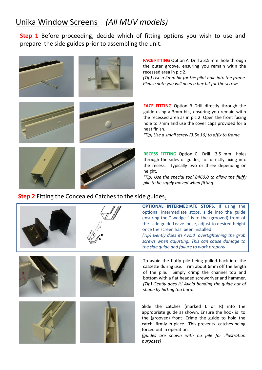### Unika Window Screens *(All MUV models)*

**Step 1** Before proceeding, decide which of fitting options you wish to use and prepare the side guides prior to assembling the unit.



**FACE FITTING** Option A Drill a 3.5 mm hole through the outer groove, ensuring you remain witin the recessed area in pic 2.

*(Tip) Use a 2mm bit for the pilot hole into the frame. Please note you will need a hex bit for the screws*

**FACE FITTING** Option B Drill directly through the guide using a 3mm bit., ensuring you remain witin the recessed area as in pic 2. Open the front facing hole to 7mm and use the cover caps provided for a neat finish.

*(Tip) Use a small screw (3.5x 16) to affix to frame.*

**RECESS FITTING** Option C Drill 3.5 mm holes through the sides of guides, for directly fixing into the recess. Typically two or three depending on height.

*(Tip) Use the special tool 8460.0 to allow the fluffy pile to be safely moved when fitting.*

#### **Step 2** Fitting the Concealed Catches to the side guides.





**OPTIONAL INTERMEDIATE STOPS.** If using the optional intermediate stops, slide into the guide ensuring the " wedge " is to the (grooved) front of the side guide Leave loose, adjust to desired height once the screen has been installed.

*(Tip) Gently does it! Avoid overtightening the grub screws when adjusting. This can cause damage to the side guide and failure to work properly*

To avoid the fluffy pile being pulled back into the cassette during use. Trim about 6mm off the length of the pile. Simply crimp the channel top and bottom with a flat headed screwdriver and hammer. *(Tip) Gently does it! Avoid bending the guide out of shape by hitting too hard.*

Slide the catches (marked L or R) into the appropriate guide as shown. Ensure the hook is to the (grooved) front .Crimp the guide to hold the catch firmly in place. This prevents catches being forced out in operation.

*(guides are shown with no pile for illustration purposes)*





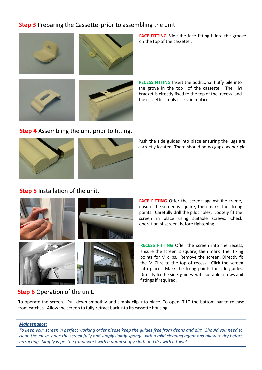**Step 3** Preparing the Cassette prior to assembling the unit.



**FACE FITTING** Slide the face fitting **L** into the groove on the top of the cassette .

**RECESS FITTING** Insert the additional fluffy pile into the grove in the top of the cassette. The **M** bracket is directly fixed to the top of the recess and the cassette simply clicks in n place .

#### **Step 4** Assembling the unit prior to fitting.





Push the side guides into place ensuring the lugs are correctly located. There should be no gaps as per pic 2.

### **Step 5** Installation of the unit.



**FACE FITTING** Offer the screen against the frame, ensure the screen is square, then mark the fixing points. Carefully drill the pilot holes. Loosely fit the screen in place using suitable screws. Check operation of screen, before tightening.

**RECESS FITTING** Offer the screen into the recess, ensure the screen is square, then mark the fixing points for M clips. Remove the screen, Directly fit the M Clips to the top of recess. Click the screen into place. Mark the fixing points for side guides. Directly fix the side guides with suitable screws and fittings if required.

#### **Step 6 Operation of the unit.**

To operate the screen. Pull down smoothly and simply clip into place. To open, **TILT** the bottom bar to release from catches . Allow the screen to fully retract back into its cassette housing. .

#### *Maintenance;*

*To keep your screen in perfect working order please keep the guides free from debris and dirt. Should you need to clean the mesh, open the screen fully and simply lightly sponge with a mild cleaning agent and allow to dry before retracting. Simply wipe the framework with a damp soapy cloth and dry with a towel.*